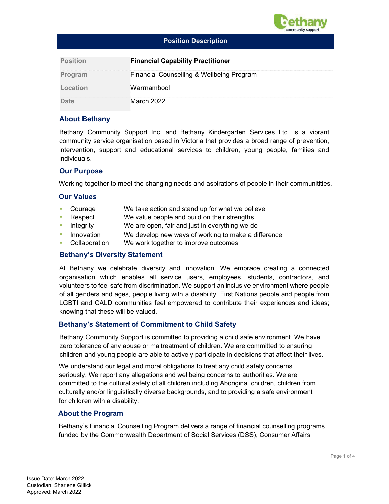

#### Position Description

| <b>Position</b> | <b>Financial Capability Practitioner</b>  |
|-----------------|-------------------------------------------|
| Program         | Financial Counselling & Wellbeing Program |
| Location        | Warrnambool                               |
| Date            | March 2022                                |

# About Bethany

Bethany Community Support Inc. and Bethany Kindergarten Services Ltd. is a vibrant community service organisation based in Victoria that provides a broad range of prevention, intervention, support and educational services to children, young people, families and individuals.

#### Our Purpose

Working together to meet the changing needs and aspirations of people in their communitities.

#### Our Values

- Courage We take action and stand up for what we believe
- Respect We value people and build on their strengths
- Integrity We are open, fair and just in everything we do
- Innovation We develop new ways of working to make a difference
- Collaboration We work together to improve outcomes

#### Bethany's Diversity Statement

At Bethany we celebrate diversity and innovation. We embrace creating a connected organisation which enables all service users, employees, students, contractors, and volunteers to feel safe from discrimination. We support an inclusive environment where people of all genders and ages, people living with a disability. First Nations people and people from LGBTI and CALD communities feel empowered to contribute their experiences and ideas; knowing that these will be valued.

#### Bethany's Statement of Commitment to Child Safety

Bethany Community Support is committed to providing a child safe environment. We have zero tolerance of any abuse or maltreatment of children. We are committed to ensuring children and young people are able to actively participate in decisions that affect their lives.

We understand our legal and moral obligations to treat any child safety concerns seriously. We report any allegations and wellbeing concerns to authorities. We are committed to the cultural safety of all children including Aboriginal children, children from culturally and/or linguistically diverse backgrounds, and to providing a safe environment for children with a disability.

#### About the Program

Bethany's Financial Counselling Program delivers a range of financial counselling programs funded by the Commonwealth Department of Social Services (DSS), Consumer Affairs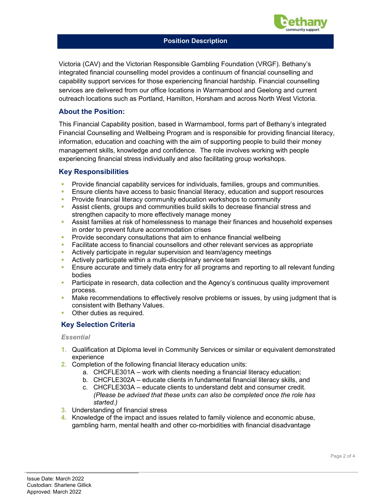

#### Position Description

Victoria (CAV) and the Victorian Responsible Gambling Foundation (VRGF). Bethany's integrated financial counselling model provides a continuum of financial counselling and capability support services for those experiencing financial hardship. Financial counselling services are delivered from our office locations in Warrnambool and Geelong and current outreach locations such as Portland, Hamilton, Horsham and across North West Victoria.

### About the Position:

This Financial Capability position, based in Warrnambool, forms part of Bethany's integrated Financial Counselling and Wellbeing Program and is responsible for providing financial literacy, information, education and coaching with the aim of supporting people to build their money management skills, knowledge and confidence. The role involves working with people experiencing financial stress individually and also facilitating group workshops.

#### Key Responsibilities

- Provide financial capability services for individuals, families, groups and communities.
- Ensure clients have access to basic financial literacy, education and support resources
- **Provide financial literacy community education workshops to community**
- Assist clients, groups and communities build skills to decrease financial stress and strengthen capacity to more effectively manage money
- Assist families at risk of homelessness to manage their finances and household expenses in order to prevent future accommodation crises
- **Provide secondary consultations that aim to enhance financial wellbeing**
- **Facilitate access to financial counsellors and other relevant services as appropriate**
- Actively participate in regular supervision and team/agency meetings
- **Actively participate within a multi-disciplinary service team**
- Ensure accurate and timely data entry for all programs and reporting to all relevant funding bodies
- **Participate in research, data collection and the Agency's continuous quality improvement** process.
- Make recommendations to effectively resolve problems or issues, by using judgment that is consistent with Bethany Values.
- Other duties as required.

#### Key Selection Criteria

#### **Essential**

- 1. Qualification at Diploma level in Community Services or similar or equivalent demonstrated experience
- 2. Completion of the following financial literacy education units:
	- a. CHCFLE301A work with clients needing a financial literacy education;
	- b. CHCFLE302A educate clients in fundamental financial literacy skills, and
	- c. CHCFLE303A educate clients to understand debt and consumer credit. (Please be advised that these units can also be completed once the role has started.)
- 3. Understanding of financial stress
- 4. Knowledge of the impact and issues related to family violence and economic abuse, gambling harm, mental health and other co-morbidities with financial disadvantage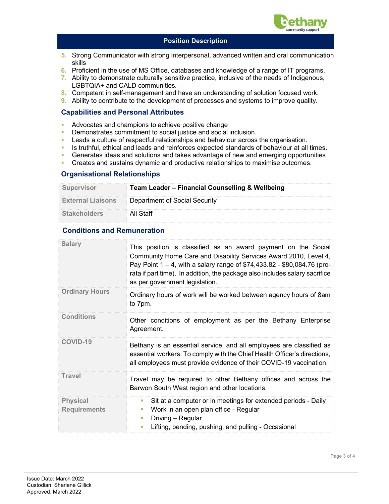

### Position Description

- 5. Strong Communicator with strong interpersonal, advanced written and oral communication skills
- 6. Proficient in the use of MS Office, databases and knowledge of a range of IT programs.
- 7. Ability to demonstrate culturally sensitive practice, inclusive of the needs of Indigenous, LGBTQIA+ and CALD communities.
- 8. Competent in self-management and have an understanding of solution focused work.
- 9. Ability to contribute to the development of processes and systems to improve quality.

# Capabilities and Personal Attributes

- **Advocates and champions to achieve positive change**
- **Demonstrates commitment to social justice and social inclusion.**
- **Leads a culture of respectful relationships and behaviour across the organisation.**
- In Its truthful, ethical and leads and reinforces expected standards of behaviour at all times.
- Generates ideas and solutions and takes advantage of new and emerging opportunities
- **Creates and sustains dynamic and productive relationships to maximise outcomes.**

# Organisational Relationships

| <b>Supervisor</b>        | Team Leader - Financial Counselling & Wellbeing |  |
|--------------------------|-------------------------------------------------|--|
| <b>External Liaisons</b> | Department of Social Security                   |  |
| <b>Stakeholders</b>      | All Staff                                       |  |

# Conditions and Remuneration

| <b>Salary</b>                          | This position is classified as an award payment on the Social<br>Community Home Care and Disability Services Award 2010, Level 4,<br>Pay Point $1 - 4$ , with a salary range of \$74,433.82 - \$80,084.76 (pro-<br>rata if part time). In addition, the package also includes salary sacrifice<br>as per government legislation. |  |
|----------------------------------------|----------------------------------------------------------------------------------------------------------------------------------------------------------------------------------------------------------------------------------------------------------------------------------------------------------------------------------|--|
| <b>Ordinary Hours</b>                  | Ordinary hours of work will be worked between agency hours of 8am<br>to 7pm.                                                                                                                                                                                                                                                     |  |
| <b>Conditions</b>                      | Other conditions of employment as per the Bethany Enterprise<br>Agreement.                                                                                                                                                                                                                                                       |  |
| <b>COVID-19</b>                        | Bethany is an essential service, and all employees are classified as<br>essential workers. To comply with the Chief Health Officer's directions,<br>all employees must provide evidence of their COVID-19 vaccination.                                                                                                           |  |
| Travel                                 | Travel may be required to other Bethany offices and across the<br>Barwon South West region and other locations.                                                                                                                                                                                                                  |  |
| <b>Physical</b><br><b>Requirements</b> | Sit at a computer or in meetings for extended periods - Daily<br><b>TI</b><br>Work in an open plan office - Regular<br>ш<br>Driving - Regular<br>T.<br>Lifting, bending, pushing, and pulling - Occasional                                                                                                                       |  |